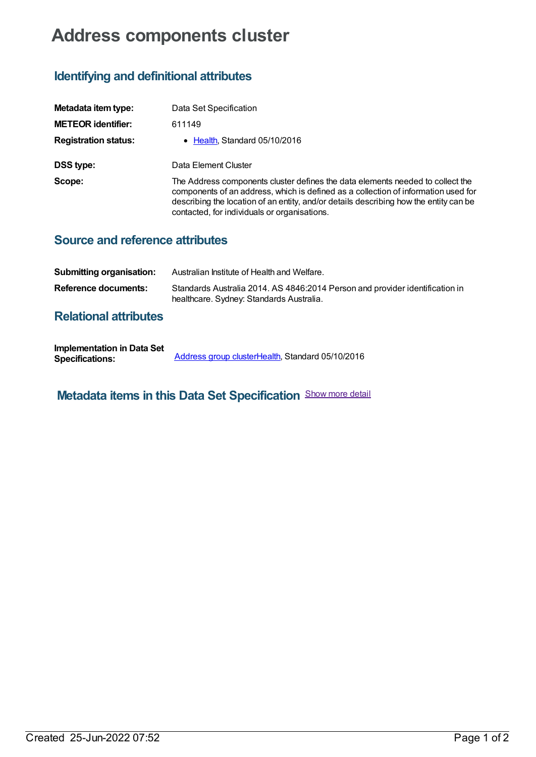# **Address components cluster**

## **Identifying and definitional attributes**

| Metadata item type:         | Data Set Specification                                                                                                                                                                                                                                                                                        |
|-----------------------------|---------------------------------------------------------------------------------------------------------------------------------------------------------------------------------------------------------------------------------------------------------------------------------------------------------------|
| <b>METEOR identifier:</b>   | 611149                                                                                                                                                                                                                                                                                                        |
| <b>Registration status:</b> | • Health, Standard 05/10/2016                                                                                                                                                                                                                                                                                 |
| <b>DSS type:</b>            | Data Element Cluster                                                                                                                                                                                                                                                                                          |
| Scope:                      | The Address components cluster defines the data elements needed to collect the<br>components of an address, which is defined as a collection of information used for<br>describing the location of an entity, and/or details describing how the entity can be<br>contacted, for individuals or organisations. |

#### **Source and reference attributes**

| Submitting organisation: | Australian Institute of Health and Welfare.                                                                              |
|--------------------------|--------------------------------------------------------------------------------------------------------------------------|
| Reference documents:     | Standards Australia 2014. AS 4846:2014 Person and provider identification in<br>healthcare. Sydney: Standards Australia. |

### **Relational attributes**

| <b>Implementation in Data Set</b> |                                                  |
|-----------------------------------|--------------------------------------------------|
| <b>Specifications:</b>            | Address group clusterHealth, Standard 05/10/2016 |

**Metadata items in this Data Set Specification** Show more detail